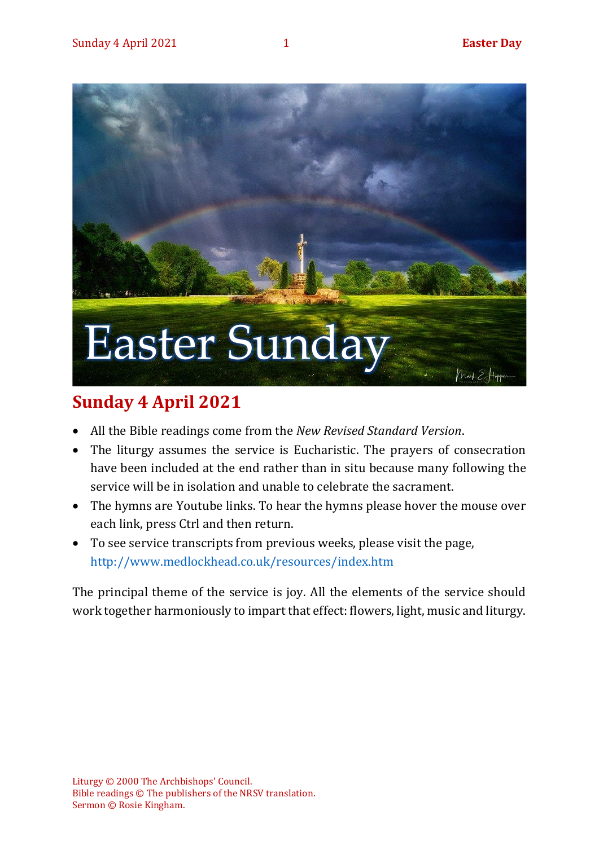

# **Sunday 4 April 2021**

- All the Bible readings come from the *New Revised Standard Version*.
- The liturgy assumes the service is Eucharistic. The prayers of consecration have been included at the end rather than in situ because many following the service will be in isolation and unable to celebrate the sacrament.
- The hymns are Youtube links. To hear the hymns please hover the mouse over each link, press Ctrl and then return.
- To see service transcripts from previous weeks, please visit the page, <http://www.medlockhead.co.uk/resources/index.htm>

The principal theme of the service is joy. All the elements of the service should work together harmoniously to impart that effect: flowers, light, music and liturgy.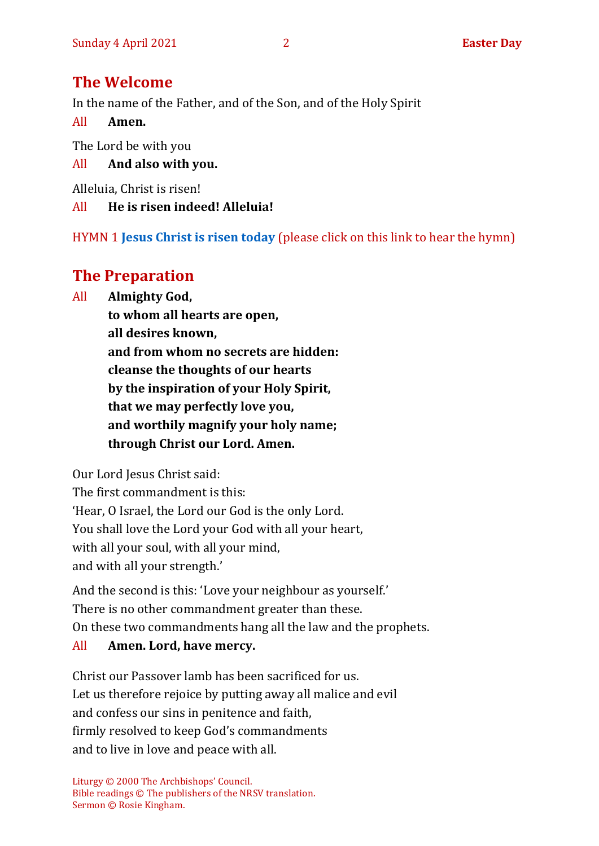# **The Welcome**

In the name of the Father, and of the Son, and of the Holy Spirit

All **Amen.**

The Lord be with you

All **And also with you.**

Alleluia, Christ is risen!

All **He is risen indeed! Alleluia!**

HYMN 1 **[Jesus Christ is risen today](https://www.youtube.com/watch?v=X1brSOs0lMc)** (please click on this link to hear the hymn)

# **The Preparation**

All **Almighty God,**

**to whom all hearts are open, all desires known, and from whom no secrets are hidden: cleanse the thoughts of our hearts by the inspiration of your Holy Spirit, that we may perfectly love you, and worthily magnify your holy name; through Christ our Lord. Amen.**

Our Lord Jesus Christ said:

The first commandment is this: 'Hear, O Israel, the Lord our God is the only Lord. You shall love the Lord your God with all your heart, with all your soul, with all your mind, and with all your strength.'

And the second is this: 'Love your neighbour as yourself.' There is no other commandment greater than these. On these two commandments hang all the law and the prophets.

## All **Amen. Lord, have mercy.**

Christ our Passover lamb has been sacrificed for us. Let us therefore rejoice by putting away all malice and evil and confess our sins in penitence and faith, firmly resolved to keep God's commandments and to live in love and peace with all.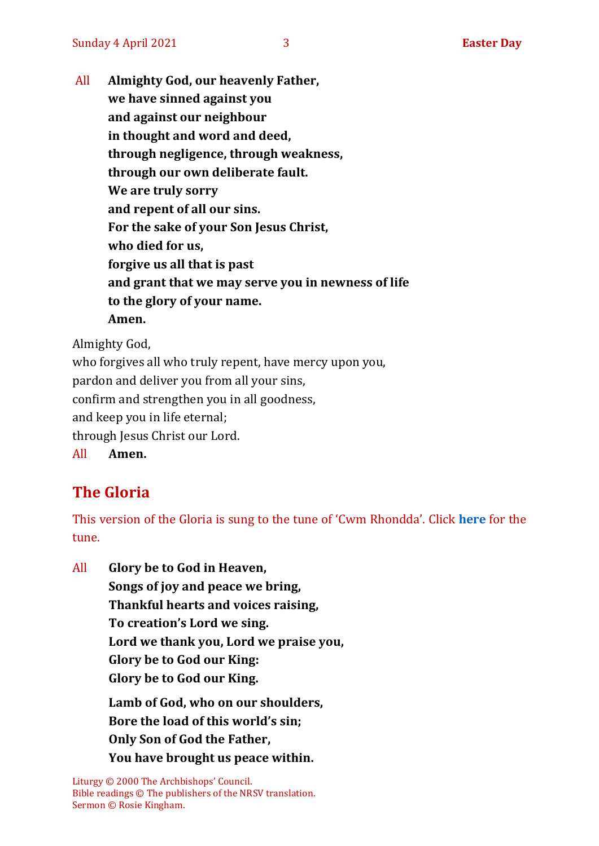All **Almighty God, our heavenly Father, we have sinned against you and against our neighbour in thought and word and deed, through negligence, through weakness, through our own deliberate fault. We are truly sorry and repent of all our sins. For the sake of your Son Jesus Christ, who died for us, forgive us all that is past and grant that we may serve you in newness of life to the glory of your name. Amen.**

Almighty God,

who forgives all who truly repent, have mercy upon you, pardon and deliver you from all your sins, confirm and strengthen you in all goodness, and keep you in life eternal; through Jesus Christ our Lord.

All **Amen.**

# **The Gloria**

This version of the Gloria is sung to the tune of 'Cwm Rhondda'. Click **[here](https://www.youtube.com/watch?v=BtGhnEwY74E)** for the tune.

All **Glory be to God in Heaven,**

**Songs of joy and peace we bring,**

**Thankful hearts and voices raising,**

**To creation's Lord we sing.**

**Lord we thank you, Lord we praise you,**

**Glory be to God our King:**

**Glory be to God our King.**

**Lamb of God, who on our shoulders, Bore the load of this world's sin; Only Son of God the Father, You have brought us peace within.**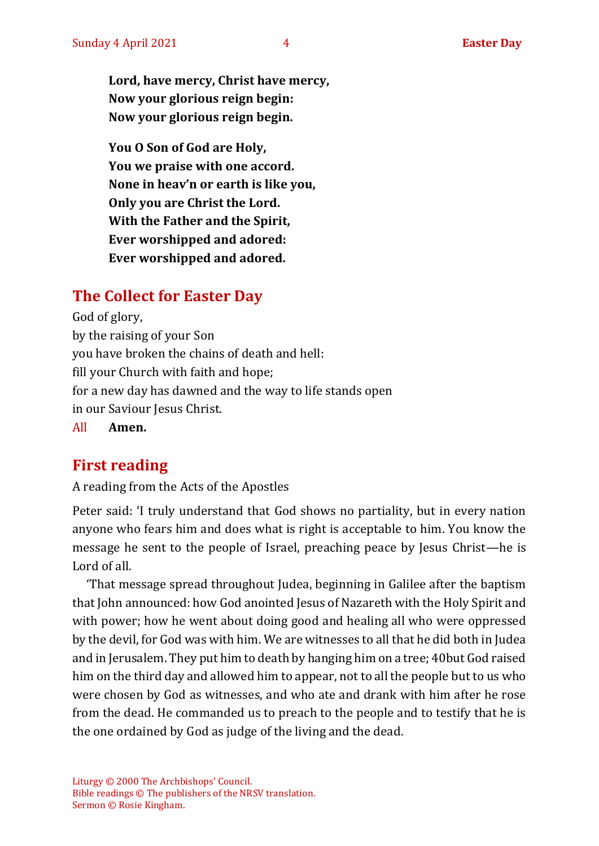**Lord, have mercy, Christ have mercy, Now your glorious reign begin: Now your glorious reign begin.**

**You O Son of God are Holy, You we praise with one accord. None in heav'n or earth is like you, Only you are Christ the Lord. With the Father and the Spirit, Ever worshipped and adored: Ever worshipped and adored.**

# **The Collect for Easter Day**

God of glory, by the raising of your Son you have broken the chains of death and hell: fill your Church with faith and hope; for a new day has dawned and the way to life stands open in our Saviour Jesus Christ.

All **Amen.**

# **First reading**

A reading from the Acts of the Apostles

Peter said: 'I truly understand that God shows no partiality, but in every nation anyone who fears him and does what is right is acceptable to him. You know the message he sent to the people of Israel, preaching peace by Jesus Christ—he is Lord of all.

'That message spread throughout Judea, beginning in Galilee after the baptism that John announced: how God anointed Jesus of Nazareth with the Holy Spirit and with power; how he went about doing good and healing all who were oppressed by the devil, for God was with him. We are witnesses to all that he did both in Judea and in Jerusalem. They put him to death by hanging him on a tree; 40but God raised him on the third day and allowed him to appear, not to all the people but to us who were chosen by God as witnesses, and who ate and drank with him after he rose from the dead. He commanded us to preach to the people and to testify that he is the one ordained by God as judge of the living and the dead.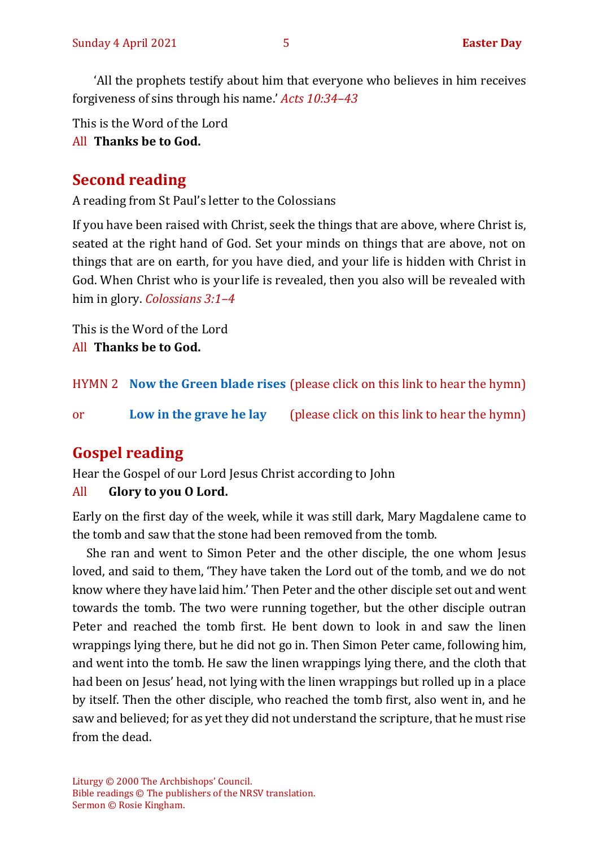'All the prophets testify about him that everyone who believes in him receives forgiveness of sins through his name.' *Acts 10:34–43*

This is the Word of the Lord

All **Thanks be to God.**

# **Second reading**

A reading from St Paul's letter to the Colossians

If you have been raised with Christ, seek the things that are above, where Christ is, seated at the right hand of God. Set your minds on things that are above, not on things that are on earth, for you have died, and your life is hidden with Christ in God. When Christ who is your life is revealed, then you also will be revealed with him in glory. *Colossians 3:1–4*

This is the Word of the Lord All **Thanks be to God.**

HYMN 2 **[Now the Green blade rises](https://www.youtube.com/watch?v=UVduV0ustWw)** (please click on this link to hear the hymn)

or **[Low in the grave he lay](https://www.youtube.com/watch?v=CtxSWcfH9hk)** (please click on this link to hear the hymn)

# **Gospel reading**

Hear the Gospel of our Lord Jesus Christ according to John

## All **Glory to you O Lord.**

Early on the first day of the week, while it was still dark, Mary Magdalene came to the tomb and saw that the stone had been removed from the tomb.

She ran and went to Simon Peter and the other disciple, the one whom Jesus loved, and said to them, 'They have taken the Lord out of the tomb, and we do not know where they have laid him.' Then Peter and the other disciple set out and went towards the tomb. The two were running together, but the other disciple outran Peter and reached the tomb first. He bent down to look in and saw the linen wrappings lying there, but he did not go in. Then Simon Peter came, following him, and went into the tomb. He saw the linen wrappings lying there, and the cloth that had been on Jesus' head, not lying with the linen wrappings but rolled up in a place by itself. Then the other disciple, who reached the tomb first, also went in, and he saw and believed; for as yet they did not understand the scripture, that he must rise from the dead.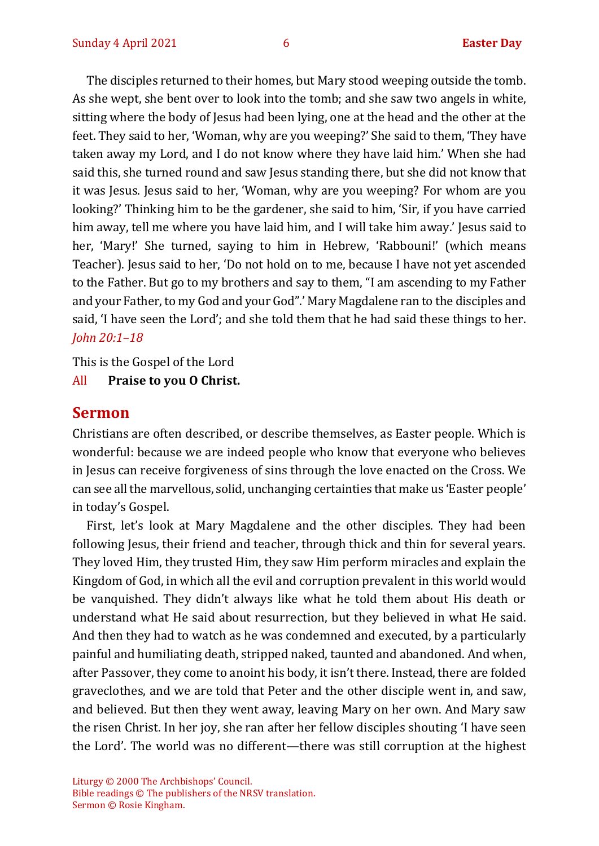The disciples returned to their homes, but Mary stood weeping outside the tomb. As she wept, she bent over to look into the tomb; and she saw two angels in white, sitting where the body of Jesus had been lying, one at the head and the other at the feet. They said to her, 'Woman, why are you weeping?' She said to them, 'They have taken away my Lord, and I do not know where they have laid him.' When she had said this, she turned round and saw Jesus standing there, but she did not know that it was Jesus. Jesus said to her, 'Woman, why are you weeping? For whom are you looking?' Thinking him to be the gardener, she said to him, 'Sir, if you have carried him away, tell me where you have laid him, and I will take him away.' Jesus said to her, 'Mary!' She turned, saying to him in Hebrew, 'Rabbouni!' (which means Teacher). Jesus said to her, 'Do not hold on to me, because I have not yet ascended to the Father. But go to my brothers and say to them, "I am ascending to my Father and your Father, to my God and your God".' Mary Magdalene ran to the disciples and said, 'I have seen the Lord'; and she told them that he had said these things to her. *John 20:1–18*

This is the Gospel of the Lord

All **Praise to you O Christ.** 

## **Sermon**

Christians are often described, or describe themselves, as Easter people. Which is wonderful: because we are indeed people who know that everyone who believes in Jesus can receive forgiveness of sins through the love enacted on the Cross. We can see all the marvellous, solid, unchanging certainties that make us 'Easter people' in today's Gospel.

First, let's look at Mary Magdalene and the other disciples. They had been following Jesus, their friend and teacher, through thick and thin for several years. They loved Him, they trusted Him, they saw Him perform miracles and explain the Kingdom of God, in which all the evil and corruption prevalent in this world would be vanquished. They didn't always like what he told them about His death or understand what He said about resurrection, but they believed in what He said. And then they had to watch as he was condemned and executed, by a particularly painful and humiliating death, stripped naked, taunted and abandoned. And when, after Passover, they come to anoint his body, it isn't there. Instead, there are folded graveclothes, and we are told that Peter and the other disciple went in, and saw, and believed. But then they went away, leaving Mary on her own. And Mary saw the risen Christ. In her joy, she ran after her fellow disciples shouting 'I have seen the Lord'. The world was no different—there was still corruption at the highest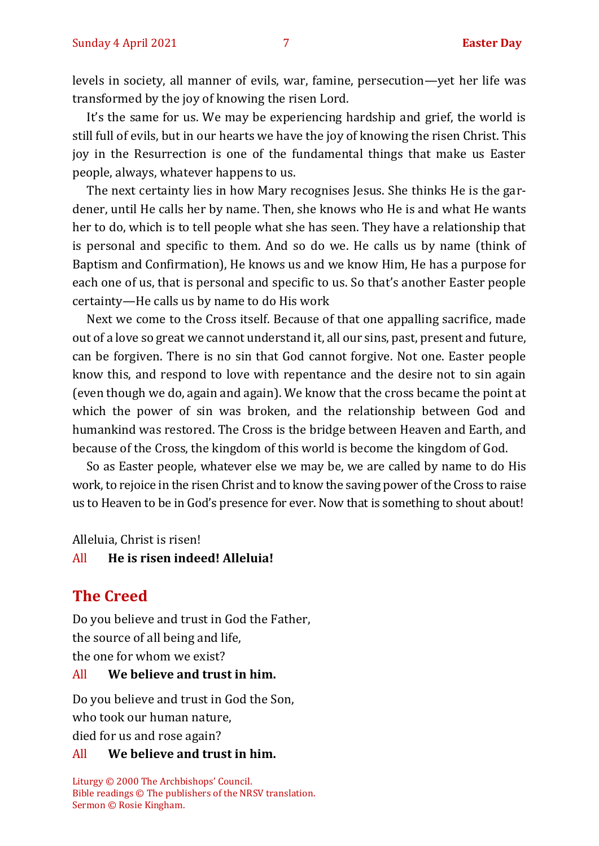levels in society, all manner of evils, war, famine, persecution—yet her life was transformed by the joy of knowing the risen Lord.

It's the same for us. We may be experiencing hardship and grief, the world is still full of evils, but in our hearts we have the joy of knowing the risen Christ. This joy in the Resurrection is one of the fundamental things that make us Easter people, always, whatever happens to us.

The next certainty lies in how Mary recognises Jesus. She thinks He is the gardener, until He calls her by name. Then, she knows who He is and what He wants her to do, which is to tell people what she has seen. They have a relationship that is personal and specific to them. And so do we. He calls us by name (think of Baptism and Confirmation), He knows us and we know Him, He has a purpose for each one of us, that is personal and specific to us. So that's another Easter people certainty—He calls us by name to do His work

Next we come to the Cross itself. Because of that one appalling sacrifice, made out of a love so great we cannot understand it, all our sins, past, present and future, can be forgiven. There is no sin that God cannot forgive. Not one. Easter people know this, and respond to love with repentance and the desire not to sin again (even though we do, again and again). We know that the cross became the point at which the power of sin was broken, and the relationship between God and humankind was restored. The Cross is the bridge between Heaven and Earth, and because of the Cross, the kingdom of this world is become the kingdom of God.

So as Easter people, whatever else we may be, we are called by name to do His work, to rejoice in the risen Christ and to know the saving power of the Cross to raise us to Heaven to be in God's presence for ever. Now that is something to shout about!

Alleluia, Christ is risen!

#### All **He is risen indeed! Alleluia!**

## **The Creed**

Do you believe and trust in God the Father, the source of all being and life, the one for whom we exist?

#### All **We believe and trust in him.**

Do you believe and trust in God the Son, who took our human nature, died for us and rose again?

#### All **We believe and trust in him.**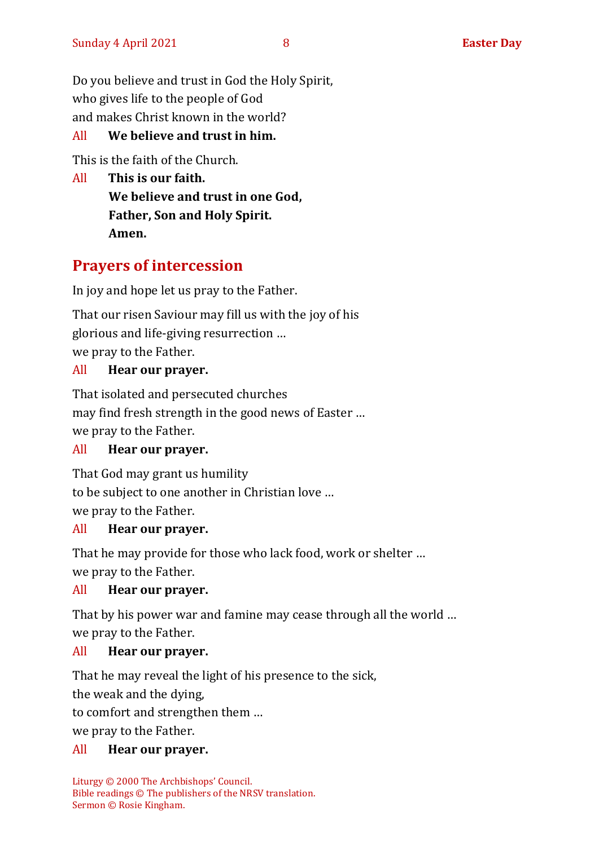Do you believe and trust in God the Holy Spirit, who gives life to the people of God and makes Christ known in the world?

## All **We believe and trust in him.**

This is the faith of the Church.

All **This is our faith. We believe and trust in one God, Father, Son and Holy Spirit. Amen.**

# **Prayers of intercession**

In joy and hope let us pray to the Father.

That our risen Saviour may fill us with the joy of his glorious and life-giving resurrection … we pray to the Father.

#### All **Hear our prayer.**

That isolated and persecuted churches may find fresh strength in the good news of Easter … we pray to the Father.

## All **Hear our prayer.**

That God may grant us humility to be subject to one another in Christian love … we pray to the Father.

#### All **Hear our prayer.**

That he may provide for those who lack food, work or shelter … we pray to the Father.

#### All **Hear our prayer.**

That by his power war and famine may cease through all the world … we pray to the Father.

#### All **Hear our prayer.**

That he may reveal the light of his presence to the sick,

the weak and the dying,

to comfort and strengthen them …

we pray to the Father.

#### All **Hear our prayer.**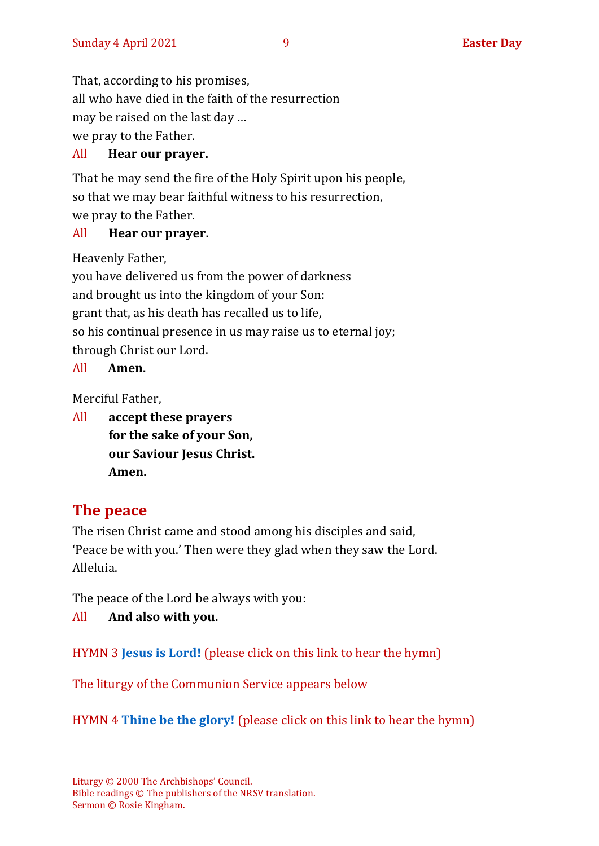That, according to his promises, all who have died in the faith of the resurrection may be raised on the last day … we pray to the Father.

## All **Hear our prayer.**

That he may send the fire of the Holy Spirit upon his people, so that we may bear faithful witness to his resurrection, we pray to the Father.

## All **Hear our prayer.**

Heavenly Father,

you have delivered us from the power of darkness and brought us into the kingdom of your Son: grant that, as his death has recalled us to life, so his continual presence in us may raise us to eternal joy; through Christ our Lord.

All **Amen.**

Merciful Father,

All **accept these prayers for the sake of your Son, our Saviour Jesus Christ. Amen.**

# **The peace**

The risen Christ came and stood among his disciples and said, 'Peace be with you.' Then were they glad when they saw the Lord. Alleluia.

The peace of the Lord be always with you:

All **And also with you.**

HYMN 3 **[Jesus is Lord!](https://www.youtube.com/watch?v=rflCCx3QRys&list=PLilJizfAHGExM_BlYgUNqWFtvwgMiXAmT)** (please click on this link to hear the hymn)

The liturgy of the Communion Service appears below

HYMN 4 **[Thine be the glory!](https://www.youtube.com/watch?v=GK0I9vj2QlI)** (please click on this link to hear the hymn)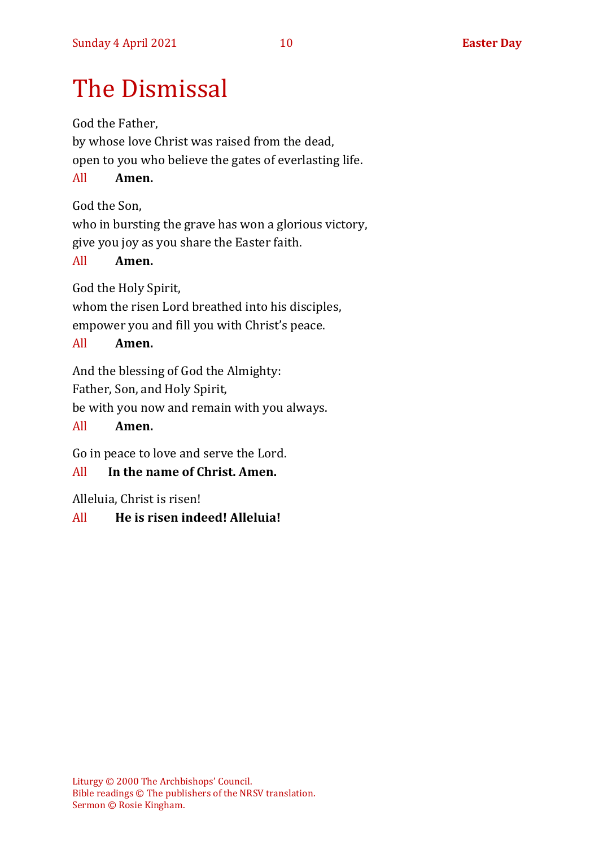# The Dismissal

God the Father,

by whose love Christ was raised from the dead, open to you who believe the gates of everlasting life.

All **Amen.**

God the Son,

who in bursting the grave has won a glorious victory, give you joy as you share the Easter faith.

## All **Amen.**

God the Holy Spirit,

whom the risen Lord breathed into his disciples, empower you and fill you with Christ's peace.

## All **Amen.**

And the blessing of God the Almighty:

Father, Son, and Holy Spirit,

be with you now and remain with you always.

#### All **Amen.**

Go in peace to love and serve the Lord.

## All **In the name of Christ. Amen.**

Alleluia, Christ is risen!

All **He is risen indeed! Alleluia!**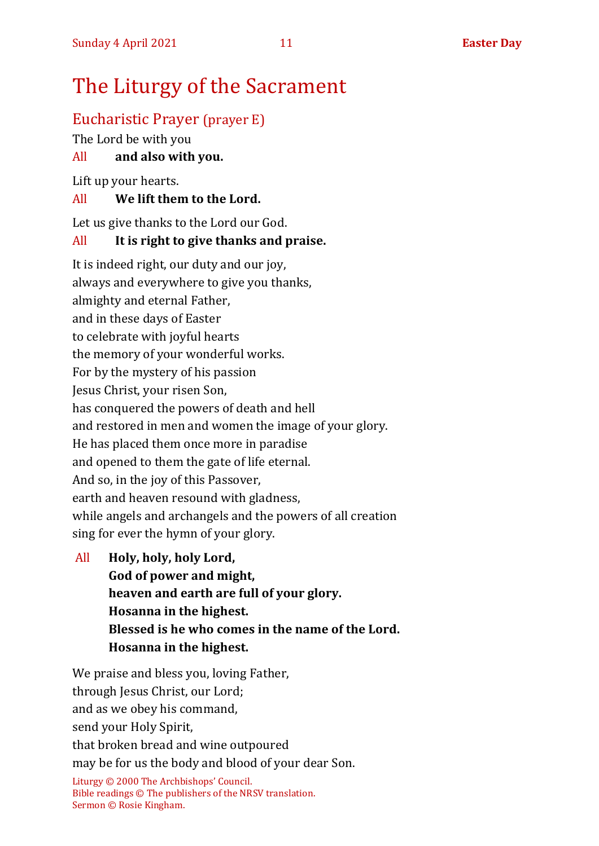# The Liturgy of the Sacrament

# Eucharistic Prayer (prayer E)

The Lord be with you

## All **and also with you.**

Lift up your hearts.

## All **We lift them to the Lord.**

Let us give thanks to the Lord our God.

## All **It is right to give thanks and praise.**

It is indeed right, our duty and our joy, always and everywhere to give you thanks, almighty and eternal Father, and in these days of Easter to celebrate with joyful hearts the memory of your wonderful works. For by the mystery of his passion Jesus Christ, your risen Son, has conquered the powers of death and hell and restored in men and women the image of your glory. He has placed them once more in paradise and opened to them the gate of life eternal. And so, in the joy of this Passover, earth and heaven resound with gladness, while angels and archangels and the powers of all creation sing for ever the hymn of your glory.

All **Holy, holy, holy Lord, God of power and might, heaven and earth are full of your glory. Hosanna in the highest. Blessed is he who comes in the name of the Lord. Hosanna in the highest.**

We praise and bless you, loving Father, through Jesus Christ, our Lord; and as we obey his command, send your Holy Spirit,

that broken bread and wine outpoured may be for us the body and blood of your dear Son.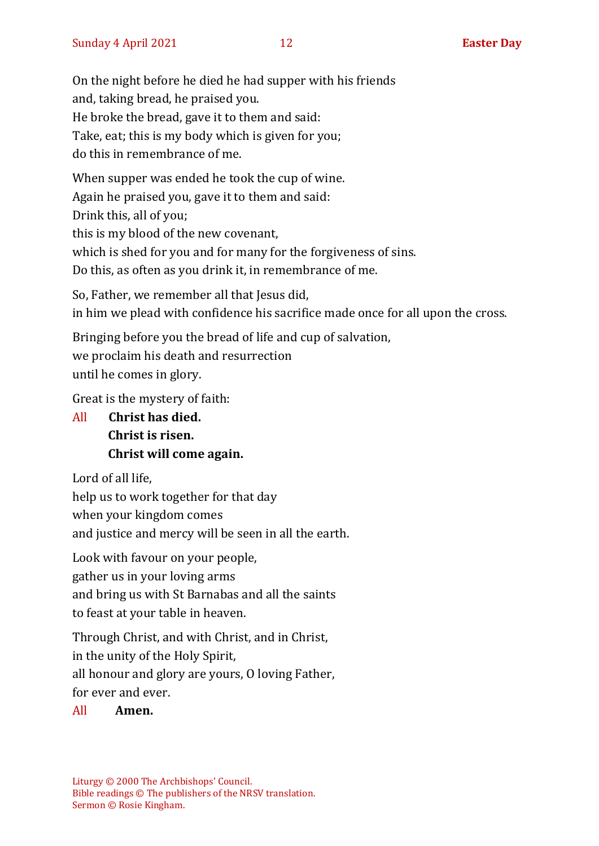On the night before he died he had supper with his friends and, taking bread, he praised you. He broke the bread, gave it to them and said: Take, eat; this is my body which is given for you; do this in remembrance of me.

When supper was ended he took the cup of wine. Again he praised you, gave it to them and said: Drink this, all of you; this is my blood of the new covenant, which is shed for you and for many for the forgiveness of sins. Do this, as often as you drink it, in remembrance of me.

So, Father, we remember all that Jesus did, in him we plead with confidence his sacrifice made once for all upon the cross.

Bringing before you the bread of life and cup of salvation, we proclaim his death and resurrection until he comes in glory.

Great is the mystery of faith:

All **Christ has died. Christ is risen. Christ will come again.**

Lord of all life,

help us to work together for that day

when your kingdom comes

and justice and mercy will be seen in all the earth.

Look with favour on your people,

gather us in your loving arms

and bring us with St Barnabas and all the saints

to feast at your table in heaven.

Through Christ, and with Christ, and in Christ, in the unity of the Holy Spirit, all honour and glory are yours, O loving Father, for ever and ever.

All **Amen.**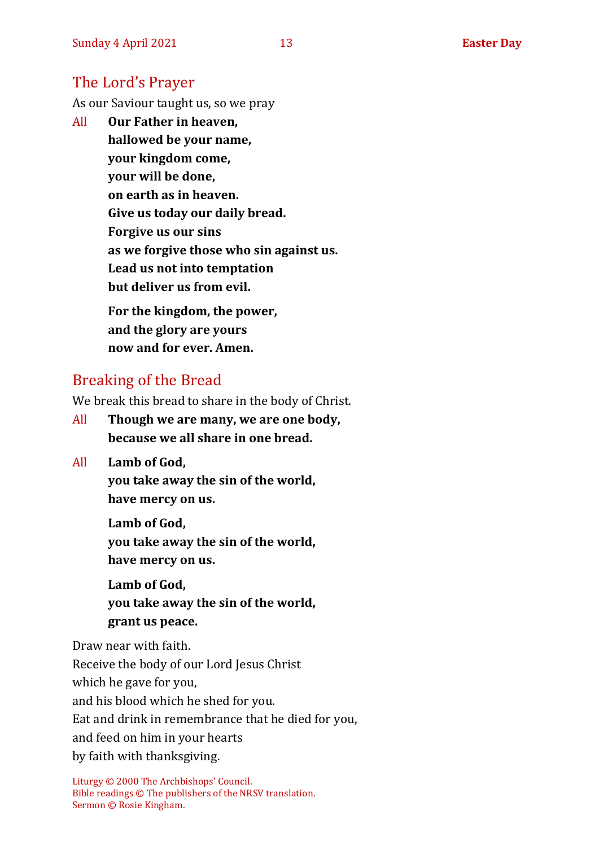# The Lord's Prayer

As our Saviour taught us, so we pray

All **Our Father in heaven, hallowed be your name, your kingdom come, your will be done, on earth as in heaven. Give us today our daily bread. Forgive us our sins as we forgive those who sin against us. Lead us not into temptation but deliver us from evil. For the kingdom, the power,** 

**and the glory are yours now and for ever. Amen.**

# Breaking of the Bread

We break this bread to share in the body of Christ.

- All **Though we are many, we are one body, because we all share in one bread.**
- All **Lamb of God,**

**you take away the sin of the world, have mercy on us.**

**Lamb of God, you take away the sin of the world, have mercy on us.**

**Lamb of God, you take away the sin of the world, grant us peace.**

Draw near with faith. Receive the body of our Lord Jesus Christ which he gave for you, and his blood which he shed for you. Eat and drink in remembrance that he died for you, and feed on him in your hearts by faith with thanksgiving.